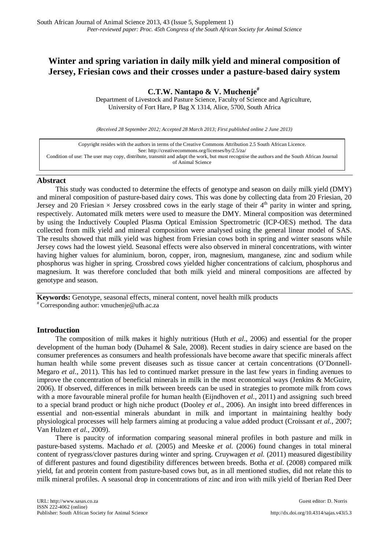# **Winter and spring variation in daily milk yield and mineral composition of Jersey, Friesian cows and their crosses under a pasture-based dairy system**

**C.T.W. Nantapo & V. Muchenje#**

Department of Livestock and Pasture Science, Faculty of Science and Agriculture, University of Fort Hare, P Bag X 1314, Alice, 5700, South Africa

*(Received 28 September 2012; Accepted 28 March 2013; First published online 2 June 2013)*

| Copyright resides with the authors in terms of the Creative Commons Attribution 2.5 South African Licence.                                 |
|--------------------------------------------------------------------------------------------------------------------------------------------|
| See: http://creativecommons.org/licenses/by/2.5/za/                                                                                        |
| Condition of use: The user may copy, distribute, transmit and adapt the work, but must recognise the authors and the South African Journal |
| of Animal Science                                                                                                                          |

## **Abstract**

This study was conducted to determine the effects of genotype and season on daily milk yield (DMY) and mineral composition of pasture-based dairy cows. This was done by collecting data from 20 Friesian, 20 Jersey and 20 Friesian  $\times$  Jersey crossbred cows in the early stage of their 4<sup>th</sup> parity in winter and spring, respectively. Automated milk meters were used to measure the DMY. Mineral composition was determined by using the Inductively Coupled Plasma Optical Emission Spectrometric (ICP-OES) method. The data collected from milk yield and mineral composition were analysed using the general linear model of SAS. The results showed that milk yield was highest from Friesian cows both in spring and winter seasons while Jersey cows had the lowest yield. Seasonal effects were also observed in mineral concentrations, with winter having higher values for aluminium, boron, copper, iron, magnesium, manganese, zinc and sodium while phosphorus was higher in spring. Crossbred cows yielded higher concentrations of calcium, phosphorus and magnesium. It was therefore concluded that both milk yield and mineral compositions are affected by genotype and season.

**Keywords:** Genotype, seasonal effects, mineral content, novel health milk products  $*$  Corresponding author: [vmuchenje@ufh.ac.za](mailto:vmuchenje@ufh.ac.za)

## **Introduction**

The composition of milk makes it highly nutritious (Huth *et al*., 2006) and essential for the proper development of the human body (Duhamel & Sale, 2008). Recent studies in dairy science are based on the consumer preferences as consumers and health professionals have become aware that specific minerals affect human health while some prevent diseases such as tissue cancer at certain concentrations (O'Donnell-Megaro *et al.*, 2011). This has led to continued market pressure in the last few years in finding avenues to improve the concentration of beneficial minerals in milk in the most economical ways (Jenkins & McGuire, 2006). If observed, differences in milk between breeds can be used in strategies to promote milk from cows with a more favourable mineral profile for human health (Eijndhoven *et al*., 2011) and assigning such breed to a special brand product or high niche product (Dooley *et al*., 2006). An insight into breed differences in essential and non-essential minerals abundant in milk and important in maintaining healthy body physiological processes will help farmers aiming at producing a value added product (Croissant *et al.*, 2007; Van Hulzen *et al.*, 2009).

There is paucity of information comparing seasonal mineral profiles in both pasture and milk in pasture-based systems. Machado *et al.* (2005) and Meeske *et al.* (2006) found changes in total mineral content of ryegrass/clover pastures during winter and spring. Cruywagen *et al.* (2011) measured digestibility of different pastures and found digestibility differences between breeds. Botha *et al.* (2008) compared milk yield, fat and protein content from pasture-based cows but, as in all mentioned studies, did not relate this to milk mineral profiles. A seasonal drop in concentrations of zinc and iron with milk yield of Iberian Red Deer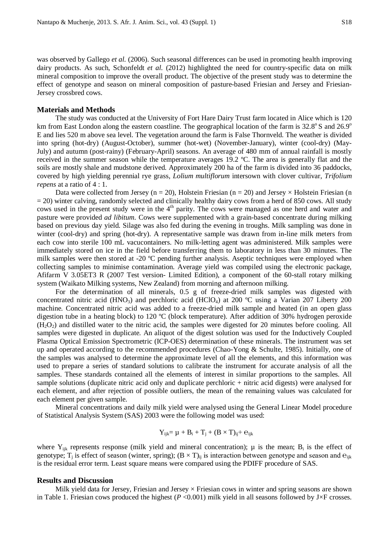was observed by Gallego *et al.* (2006). Such seasonal differences can be used in promoting health improving dairy products. As such, Schonfeldt *et al.* (2012) highlighted the need for country-specific data on milk mineral composition to improve the overall product. The objective of the present study was to determine the effect of genotype and season on mineral composition of pasture-based Friesian and Jersey and Friesian-Jersey crossbred cows.

## **Materials and Methods**

The study was conducted at the University of Fort Hare Dairy Trust farm located in Alice which is 120 km from East London along the eastern coastline. The geographical location of the farm is  $32.8^{\circ}$  S and  $26.9^{\circ}$ E and lies 520 m above sea level. The vegetation around the farm is False Thornveld. The weather is divided into spring (hot-dry) (August-October), summer (hot-wet) (November-January), winter (cool-dry) (May-July) and autumn (post-rainy) (February-April) seasons. An average of 480 mm of annual rainfall is mostly received in the summer season while the temperature averages 19.2 ºC. The area is generally flat and the soils are mostly shale and mudstone derived. Approximately 200 ha of the farm is divided into 36 paddocks, covered by high yielding perennial rye grass, *Lolium multiflorum* intersown with clover cultivar, *Trifolium repens* at a ratio of 4 : 1.

Data were collected from Jersey ( $n = 20$ ), Holstein Friesian ( $n = 20$ ) and Jersey  $\times$  Holstein Friesian (n = 20) winter calving, randomly selected and clinically healthy dairy cows from a herd of 850 cows. All study cows used in the present study were in the 4<sup>th</sup> parity. The cows were managed as one herd and water and pasture were provided *ad libitum*. Cows were supplemented with a grain-based concentrate during milking based on previous day yield. Silage was also fed during the evening in troughs. Milk sampling was done in winter (cool-dry) and spring (hot-dry). A representative sample was drawn from in-line milk meters from each cow into sterile 100 mL vacucontainers. No milk-letting agent was administered. Milk samples were immediately stored on ice in the field before transferring them to laboratory in less than 30 minutes. The milk samples were then stored at -20 ºC pending further analysis. Aseptic techniques were employed when collecting samples to minimise contamination. Average yield was compiled using the electronic package, Afifarm V 3.05ET3 R (2007 Test version- Limited Edition), a component of the 60-stall rotary milking system (Waikato Milking systems, New Zealand) from morning and afternoon milking.

For the determination of all minerals, 0.5 g of freeze-dried milk samples was digested with concentrated nitric acid (HNO<sub>3</sub>) and perchloric acid (HClO<sub>4</sub>) at 200 °C using a Varian 207 Liberty 200 machine. Concentrated nitric acid was added to a freeze-dried milk sample and heated (in an open glass digestion tube in a heating block) to 120 ºC (block temperature). After addition of 30% hydrogen peroxide  $(H<sub>2</sub>O<sub>2</sub>)$  and distilled water to the nitric acid, the samples were digested for 20 minutes before cooling. All samples were digested in duplicate. An aliquot of the digest solution was used for the Inductively Coupled Plasma Optical Emission Spectrometric (ICP-OES) determination of these minerals. The instrument was set up and operated according to the recommended procedures (Chao-Yong & Schulte, 1985). Initially, one of the samples was analysed to determine the approximate level of all the elements, and this information was used to prepare a series of standard solutions to calibrate the instrument for accurate analysis of all the samples. These standards contained all the elements of interest in similar proportions to the samples. All sample solutions (duplicate nitric acid only and duplicate perchloric + nitric acid digests) were analysed for each element, and after rejection of possible outliers, the mean of the remaining values was calculated for each element per given sample.

Mineral concentrations and daily milk yield were analysed using the General Linear Model procedure of Statistical Analysis System (SAS) 2003 were the following model was used:

$$
Y_{ijk} = \mu + B_i + T_j + (B \times T)_{ij} + e_{ijk}
$$

where  $Y_{ijk}$  represents response (milk yield and mineral concentration);  $\mu$  is the mean;  $B_i$  is the effect of genotype; T<sub>i</sub> is effect of season (winter, spring);  $(B \times T)_{ii}$  is interaction between genotype and season and  $e_{iik}$ is the residual error term. Least square means were compared using the PDIFF procedure of SAS.

#### **Results and Discussion**

Milk yield data for Jersey, Friesian and Jersey  $\times$  Friesian cows in winter and spring seasons are shown in Table 1. Friesian cows produced the highest  $(P \le 0.001)$  milk yield in all seasons followed by J×F crosses.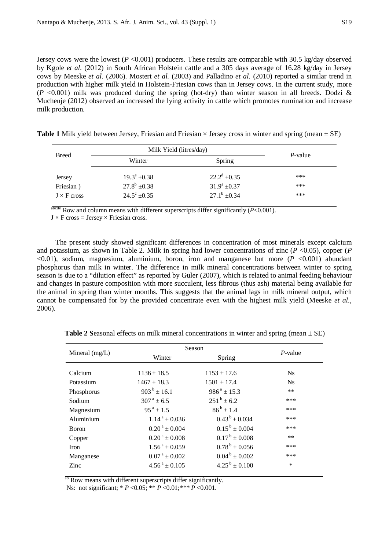Jersey cows were the lowest  $(P < 0.001)$  producers. These results are comparable with 30.5 kg/day observed by Kgole *et al.* (2012) in South African Holstein cattle and a 305 days average of 16.28 kg/day in Jersey cows by Meeske *et al.* (2006). Mostert *et al.* (2003) and Palladino *et al.* (2010) reported a similar trend in production with higher milk yield in Holstein-Friesian cows than in Jersey cows. In the current study, more  $(P \le 0.001)$  milk was produced during the spring (hot-dry) than winter season in all breeds. Dodzi & Muchenje (2012) observed an increased the lying activity in cattle which promotes rumination and increase milk production.

**Table 1** Milk yield between Jersey, Friesian and Friesian  $\times$  Jersey cross in winter and spring (mean  $\pm$  SE)

| <b>Breed</b>                              | Milk Yield (litres/day)                                                | <i>P</i> -value                                             |                   |
|-------------------------------------------|------------------------------------------------------------------------|-------------------------------------------------------------|-------------------|
|                                           | Winter                                                                 | Spring                                                      |                   |
| Jersey<br>Friesian)<br>$J \times F$ cross | $19.3^{\circ}$ +0.38<br>$27.8^b \pm 0.38$<br>$24.5^{\circ}$ $\pm 0.35$ | $22.2^d \pm 0.35$<br>$31.9^a \pm 0.37$<br>$27.1^b \pm 0.34$ | ***<br>***<br>*** |

 $a<sup>bcde</sup>$  Row and column means with different superscripts differ significantly ( $P < 0.001$ ).

 $J \times F$  cross = Jersey  $\times$  Friesian cross.

The present study showed significant differences in concentration of most minerals except calcium and potassium, as shown in Table 2. Milk in spring had lower concentrations of zinc  $(P \le 0.05)$ , copper  $(P \le 0.05)$  $\leq 0.01$ , sodium, magnesium, aluminium, boron, iron and manganese but more ( $P \leq 0.001$ ) abundant phosphorus than milk in winter. The difference in milk mineral concentrations between winter to spring season is due to a "dilution effect" as reported by Guler (2007), which is related to animal feeding behaviour and changes in pasture composition with more succulent, less fibrous (thus ash) material being available for the animal in spring than winter months. This suggests that the animal lags in milk mineral output, which cannot be compensated for by the provided concentrate even with the highest milk yield (Meeske *et al.*, 2006).

|                              |                               | $P$ -value                |  |
|------------------------------|-------------------------------|---------------------------|--|
| Winter<br>Spring             |                               |                           |  |
|                              |                               |                           |  |
|                              |                               | <b>Ns</b>                 |  |
| $1467 \pm 18.3$              | $1501 \pm 17.4$               | <b>Ns</b>                 |  |
| $903^{\mathrm{b}} \pm 16.1$  | $986^a \pm 15.3$              | $***$                     |  |
| $307^{\text{ a}} \pm 6.5$    | $251^b \pm 6.2$               | ***                       |  |
| $95^{\text{a}} \pm 1.5$      | $86^{b} \pm 1.4$              | ***                       |  |
| $1.14^{\text{a}} \pm 0.036$  | $0.43^{b} \pm 0.034$          | ***                       |  |
| $0.20^{\text{ a}} \pm 0.004$ | $0.15^{\mathrm{b}} \pm 0.004$ | ***                       |  |
| $0.20^{\text{ a}} \pm 0.008$ | $0.17^{\mathrm{b}} \pm 0.008$ | $***$                     |  |
| $1.56^{\text{a}} \pm 0.059$  | $0.78^{\mathrm{b}} \pm 0.056$ | ***                       |  |
| $0.07^{\text{ a}} \pm 0.002$ | $0.04^{\mathrm{b}} \pm 0.002$ | ***                       |  |
| $4.56^{\text{a}} \pm 0.105$  | $4.25^{\mathrm{b}} \pm 0.100$ | $\ast$                    |  |
|                              | $1136 \pm 18.5$               | Season<br>$1153 \pm 17.6$ |  |

**Table 2 Seasonal effects on milk mineral concentrations in winter and spring (mean**  $\pm$  **SE)** 

<sup>ab</sup> Row means with different superscripts differ significantly.

Ns: not significant; \* *P* <0.05; \*\* *P* <0.01;*\*\*\* P* <0.001.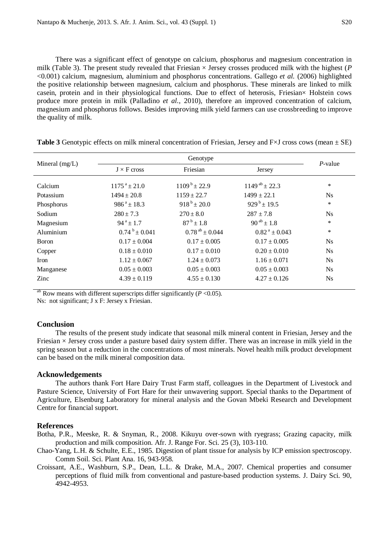There was a significant effect of genotype on calcium, phosphorus and magnesium concentration in milk (Table 3). The present study revealed that Friesian  $\times$  Jersey crosses produced milk with the highest ( $P$ <0.001) calcium, magnesium, aluminium and phosphorus concentrations. Gallego *et al.* (2006) highlighted the positive relationship between magnesium, calcium and phosphorus. These minerals are linked to milk casein, protein and in their physiological functions. Due to effect of heterosis, Friesian× Holstein cows produce more protein in milk (Palladino *et al.*, 2010), therefore an improved concentration of calcium, magnesium and phosphorus follows. Besides improving milk yield farmers can use crossbreeding to improve the quality of milk.

|                  | Genotype                   |                              |                              | $P$ -value     |
|------------------|----------------------------|------------------------------|------------------------------|----------------|
| Mineral $(mg/L)$ | $J \times F$ cross         | Friesian                     | Jersey                       |                |
| Calcium          | $1175^{\text{a}} \pm 21.0$ | $1109^{\mathrm{b}} \pm 22.9$ | $1149^{ab} \pm 22.3$         | $\ast$         |
| Potassium        | $1494 \pm 20.8$            | $1159 \pm 22.7$              | $1499 \pm 22.1$              | N <sub>s</sub> |
| Phosphorus       | $986^a \pm 18.3$           | $918^{b} \pm 20.0$           | $929^{b} \pm 19.5$           | $\ast$         |
| Sodium           | $280 \pm 7.3$              | $270 \pm 8.0$                | $287 \pm 7.8$                | $N_{\rm S}$    |
| Magnesium        | $94^a \pm 1.7$             | $87^{\rm b}$ ± 1.8           | $90^{ab} \pm 1.8$            | $\ast$         |
| Aluminium        | $0.74^{b} \pm 0.041$       | $0.78^{ab} \pm 0.044$        | $0.82^{\text{ a}} \pm 0.043$ | $\ast$         |
| Boron            | $0.17 \pm 0.004$           | $0.17 \pm 0.005$             | $0.17 \pm 0.005$             | <b>Ns</b>      |
| Copper           | $0.18 \pm 0.010$           | $0.17 \pm 0.010$             | $0.20 \pm 0.010$             | $N_{\rm S}$    |
| <b>Iron</b>      | $1.12 \pm 0.067$           | $1.24 \pm 0.073$             | $1.16 \pm 0.071$             | <b>Ns</b>      |
| Manganese        | $0.05 \pm 0.003$           | $0.05 \pm 0.003$             | $0.05 \pm 0.003$             | $N_{\rm S}$    |
| Zinc             | $4.39 \pm 0.119$           | $4.55 \pm 0.130$             | $4.27 \pm 0.126$             | N <sub>s</sub> |

**Table 3** Genotypic effects on milk mineral concentration of Friesian, Jersey and F $\times$ J cross cows (mean  $\pm$  SE)

ab Row means with different superscripts differ significantly  $(P \le 0.05)$ .

Ns: not significant; J x F: Jersey x Friesian.

#### **Conclusion**

The results of the present study indicate that seasonal milk mineral content in Friesian, Jersey and the Friesian  $\times$  Jersey cross under a pasture based dairy system differ. There was an increase in milk yield in the spring season but a reduction in the concentrations of most minerals. Novel health milk product development can be based on the milk mineral composition data.

### **Acknowledgements**

The authors thank Fort Hare Dairy Trust Farm staff, colleagues in the Department of Livestock and Pasture Science, University of Fort Hare for their unwavering support. Special thanks to the Department of Agriculture, Elsenburg Laboratory for mineral analysis and the Govan Mbeki Research and Development Centre for financial support.

## **References**

Botha, P.R., Meeske, R. & Snyman, R., 2008. Kikuyu over-sown with ryegrass; Grazing capacity, milk production and milk composition. Afr. J. Range For. Sci. 25 (3), 103-110.

- Chao-Yang, L.H. & Schulte, E.E., 1985. Digestion of plant tissue for analysis by ICP emission spectroscopy. Comm Soil. Sci. Plant Ana. 16, 943-958.
- Croissant, A.E., Washburn, S.P., Dean, L.L. & Drake, M.A., 2007. Chemical properties and consumer perceptions of fluid milk from conventional and pasture-based production systems. J. Dairy Sci. 90, 4942-4953.